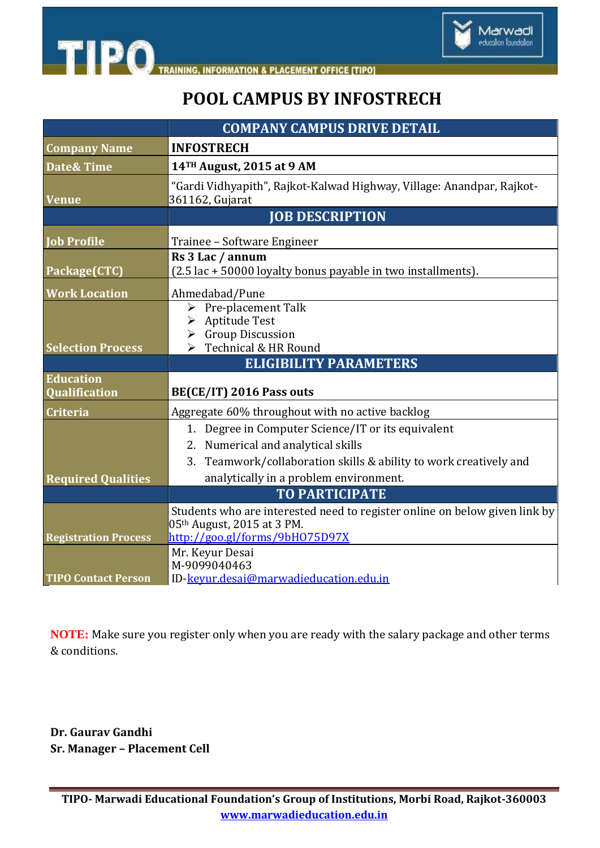

## **POOL CAMPUS BY INFOSTRECH**

|                                                           | <b>COMPANY CAMPUS DRIVE DETAIL</b>                                                                                                                               |
|-----------------------------------------------------------|------------------------------------------------------------------------------------------------------------------------------------------------------------------|
| <b>Company Name</b>                                       | <b>INFOSTRECH</b>                                                                                                                                                |
| <b>Date&amp; Time</b>                                     | 14TH August, 2015 at 9 AM                                                                                                                                        |
| <b>Venue</b>                                              | "Gardi Vidhyapith", Rajkot-Kalwad Highway, Village: Anandpar, Rajkot-<br>361162, Gujarat                                                                         |
|                                                           | <b>JOB DESCRIPTION</b>                                                                                                                                           |
| <b>Job Profile</b>                                        | Trainee - Software Engineer                                                                                                                                      |
| Package(CTC)                                              | Rs 3 Lac / annum<br>(2.5 lac + 50000 loyalty bonus payable in two installments).                                                                                 |
| <b>Work Location</b>                                      | Ahmedabad/Pune                                                                                                                                                   |
| <b>Selection Process</b>                                  | $\triangleright$ Pre-placement Talk<br>> Aptitude Test<br>$\triangleright$ Group Discussion<br>$\triangleright$ Technical & HR Round                             |
|                                                           | <b>ELIGIBILITY PARAMETERS</b>                                                                                                                                    |
| <b>Education</b><br>Qualification                         | BE(CE/IT) 2016 Pass outs                                                                                                                                         |
| <b>Criteria</b>                                           | Aggregate 60% throughout with no active backlog                                                                                                                  |
|                                                           | 1. Degree in Computer Science/IT or its equivalent<br>2. Numerical and analytical skills<br>Teamwork/collaboration skills & ability to work creatively and<br>3. |
| <b>Required Qualities</b>                                 | analytically in a problem environment.                                                                                                                           |
|                                                           | <b>TO PARTICIPATE</b>                                                                                                                                            |
|                                                           | Students who are interested need to register online on below given link by<br>05th August, 2015 at 3 PM.<br>http://goo.gl/forms/9bH075D97X                       |
| <b>Registration Process</b><br><b>TIPO Contact Person</b> | Mr. Keyur Desai<br>M-9099040463<br>ID-keyur.desai@marwadieducation.edu.in                                                                                        |

**NOTE:** Make sure you register only when you are ready with the salary package and other terms & conditions.

**Dr. Gaurav Gandhi Sr. Manager – Placement Cell**

**TIPO**